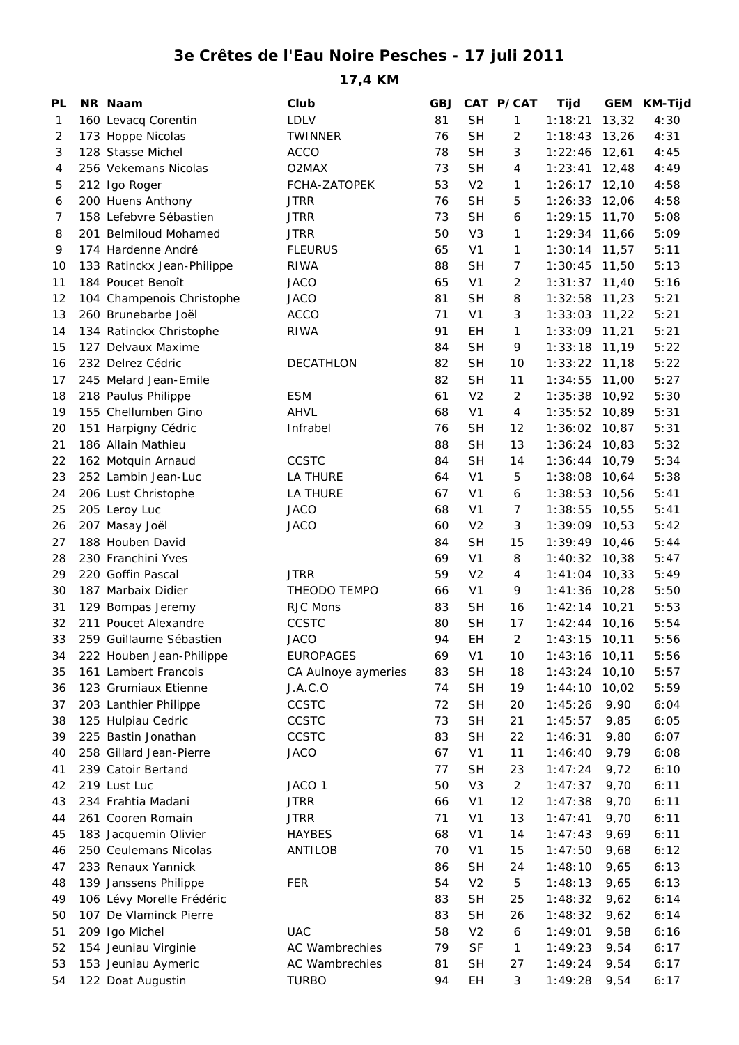## **3e Crêtes de l'Eau Noire Pesches - 17 juli 2011**

**17,4 KM**

| PL | NR Naam                    | Club                  | <b>GBJ</b> |                | CAT P/CAT       | Tijd               | GEM          | KM-Tijd |
|----|----------------------------|-----------------------|------------|----------------|-----------------|--------------------|--------------|---------|
| 1  | 160 Levacq Corentin        | <b>LDLV</b>           | 81         | <b>SH</b>      | $\mathbf{1}$    | 1:18:21            | 13,32        | 4:30    |
| 2  | 173 Hoppe Nicolas          | <b>TWINNER</b>        | 76         | <b>SH</b>      | 2               | 1:18:43            | 13,26        | 4:31    |
| 3  | 128 Stasse Michel          | <b>ACCO</b>           | 78         | <b>SH</b>      | 3               | 1:22:46            | 12,61        | 4:45    |
| 4  | 256 Vekemans Nicolas       | O2MAX                 | 73         | <b>SH</b>      | 4               | 1:23:41            | 12,48        | 4:49    |
| 5  | 212 Igo Roger              | FCHA-ZATOPEK          | 53         | V <sub>2</sub> | 1               | 1:26:17            | 12,10        | 4:58    |
| 6  | 200 Huens Anthony          | <b>JTRR</b>           | 76         | <b>SH</b>      | 5               | 1:26:33            | 12,06        | 4:58    |
| 7  | 158 Lefebvre Sébastien     | <b>JTRR</b>           | 73         | <b>SH</b>      | 6               | 1:29:15            | 11,70        | 5:08    |
| 8  | 201 Belmiloud Mohamed      | <b>JTRR</b>           | 50         | V <sub>3</sub> | $\mathbf{1}$    | 1:29:34            | 11,66        | 5:09    |
| 9  | 174 Hardenne André         | <b>FLEURUS</b>        | 65         | V <sub>1</sub> | 1               | 1:30:14            | 11,57        | 5:11    |
| 10 | 133 Ratinckx Jean-Philippe | <b>RIWA</b>           | 88         | <b>SH</b>      | $\overline{7}$  | 1:30:45            | 11,50        | 5:13    |
| 11 | 184 Poucet Benoît          | <b>JACO</b>           | 65         | V <sub>1</sub> | $\overline{2}$  | 1:31:37            | 11,40        | 5:16    |
| 12 | 104 Champenois Christophe  | <b>JACO</b>           | 81         | <b>SH</b>      | 8               | 1:32:58            | 11,23        | 5:21    |
| 13 | 260 Brunebarbe Joël        | <b>ACCO</b>           | 71         | V <sub>1</sub> | 3               | 1:33:03            | 11,22        | 5:21    |
| 14 | 134 Ratinckx Christophe    | RIWA                  | 91         | EH             | 1               | 1:33:09            | 11,21        | 5:21    |
| 15 | 127 Delvaux Maxime         |                       | 84         | <b>SH</b>      | 9               | 1:33:18            | 11,19        | 5:22    |
| 16 | 232 Delrez Cédric          | DECATHLON             | 82         | <b>SH</b>      | 10              | 1:33:22            | 11,18        | 5:22    |
| 17 | 245 Melard Jean-Emile      |                       | 82         | <b>SH</b>      | 11              | 1:34:55            | 11,00        | 5:27    |
| 18 | 218 Paulus Philippe        | <b>ESM</b>            | 61         | V <sub>2</sub> | $\overline{2}$  | 1:35:38            | 10,92        | 5:30    |
| 19 | 155 Chellumben Gino        | AHVL                  | 68         | V <sub>1</sub> | $\overline{4}$  | 1:35:52            | 10,89        | 5:31    |
| 20 | 151 Harpigny Cédric        | Infrabel              | 76         | <b>SH</b>      | 12              | 1:36:02            | 10,87        | 5:31    |
| 21 | 186 Allain Mathieu         |                       | 88         | <b>SH</b>      | 13              | 1:36:24            | 10,83        | 5:32    |
| 22 | 162 Motquin Arnaud         | <b>CCSTC</b>          | 84         | <b>SH</b>      | 14              | 1:36:44            | 10,79        | 5:34    |
| 23 | 252 Lambin Jean-Luc        | <b>LA THURE</b>       | 64         | V <sub>1</sub> | 5               | 1:38:08            | 10,64        | 5:38    |
| 24 | 206 Lust Christophe        | <b>LA THURE</b>       | 67         | V <sub>1</sub> | 6               | 1:38:53            | 10,56        | 5:41    |
| 25 | 205 Leroy Luc              | <b>JACO</b>           | 68         | V <sub>1</sub> | $\overline{7}$  | 1:38:55            | 10,55        | 5:41    |
| 26 | 207 Masay Joël             | <b>JACO</b>           | 60         | V <sub>2</sub> | 3               | 1:39:09            | 10,53        | 5:42    |
| 27 | 188 Houben David           |                       | 84         | <b>SH</b>      | 15              | 1:39:49            | 10,46        | 5:44    |
| 28 | 230 Franchini Yves         |                       | 69         | V <sub>1</sub> | 8               | 1:40:32            | 10,38        | 5:47    |
| 29 | 220 Goffin Pascal          | <b>JTRR</b>           | 59         | V <sub>2</sub> | 4               | 1:41:04            | 10,33        | 5:49    |
| 30 | 187 Marbaix Didier         | THEODO TEMPO          | 66         | V <sub>1</sub> | 9               | 1:41:36            | 10,28        | 5:50    |
| 31 | 129 Bompas Jeremy          | RJC Mons              | 83         | <b>SH</b>      | 16              | 1:42:14            | 10,21        | 5:53    |
| 32 | 211 Poucet Alexandre       | CCSTC                 | 80         | <b>SH</b>      | 17              | 1:42:44            | 10, 16       | 5:54    |
| 33 | 259 Guillaume Sébastien    | <b>JACO</b>           | 94         | EH             | $\overline{2}$  | 1:43:15            | 10, 11       | 5:56    |
| 34 | 222 Houben Jean-Philippe   | <b>EUROPAGES</b>      | 69         | V <sub>1</sub> | 10 <sup>°</sup> | $1:43:16$ 10,11    |              | 5:56    |
| 35 | 161 Lambert Francois       | CA Aulnoye aymeries   | 83         | <b>SH</b>      | 18              | 1:43:24            | 10, 10       | 5:57    |
| 36 | 123 Grumiaux Etienne       | J.A.C.O               | 74         | <b>SH</b>      | 19              | 1:44:10            | 10,02        | 5:59    |
| 37 | 203 Lanthier Philippe      | CCSTC                 | 72         | <b>SH</b>      | 20              | 1:45:26            | 9,90         | 6:04    |
| 38 | 125 Hulpiau Cedric         | <b>CCSTC</b>          | 73         | <b>SH</b>      | 21              | 1:45:57            | 9,85         | 6:05    |
|    | 225 Bastin Jonathan        | <b>CCSTC</b>          | 83         | <b>SH</b>      | 22              |                    |              | 6:07    |
| 39 | 258 Gillard Jean-Pierre    | <b>JACO</b>           | 67         | V <sub>1</sub> | 11              | 1:46:31<br>1:46:40 | 9,80<br>9,79 | 6:08    |
| 40 | 239 Catoir Bertand         |                       | 77         | <b>SH</b>      | 23              | 1:47:24            |              |         |
| 41 |                            |                       | 50         | V <sub>3</sub> |                 |                    | 9,72         | 6:10    |
| 42 | 219 Lust Luc               | JACO 1                |            |                | $\overline{2}$  | 1:47:37            | 9,70         | 6:11    |
| 43 | 234 Frahtia Madani         | <b>JTRR</b>           | 66         | V <sub>1</sub> | 12              | 1:47:38            | 9,70         | 6:11    |
| 44 | 261 Cooren Romain          | <b>JTRR</b>           | 71         | V <sub>1</sub> | 13              | 1:47:41            | 9,70         | 6:11    |
| 45 | 183 Jacquemin Olivier      | <b>HAYBES</b>         | 68         | V <sub>1</sub> | 14              | 1:47:43            | 9,69         | 6:11    |
| 46 | 250 Ceulemans Nicolas      | ANTILOB               | 70         | V <sub>1</sub> | 15              | 1:47:50            | 9,68         | 6:12    |
| 47 | 233 Renaux Yannick         |                       | 86         | <b>SH</b>      | 24              | 1:48:10            | 9,65         | 6:13    |
| 48 | 139 Janssens Philippe      | <b>FER</b>            | 54         | V <sub>2</sub> | 5               | 1:48:13            | 9,65         | 6:13    |
| 49 | 106 Lévy Morelle Frédéric  |                       | 83         | <b>SH</b>      | 25              | 1:48:32            | 9,62         | 6:14    |
| 50 | 107 De Vlaminck Pierre     |                       | 83         | <b>SH</b>      | 26              | 1:48:32            | 9,62         | 6:14    |
| 51 | 209 Igo Michel             | <b>UAC</b>            | 58         | V <sub>2</sub> | 6               | 1:49:01            | 9,58         | 6:16    |
| 52 | 154 Jeuniau Virginie       | <b>AC Wambrechies</b> | 79         | <b>SF</b>      | $\mathbf{1}$    | 1:49:23            | 9,54         | 6:17    |
| 53 | 153 Jeuniau Aymeric        | AC Wambrechies        | 81         | <b>SH</b>      | 27              | 1:49:24            | 9,54         | 6:17    |
| 54 | 122 Doat Augustin          | <b>TURBO</b>          | 94         | EH             | 3               | 1:49:28            | 9,54         | 6:17    |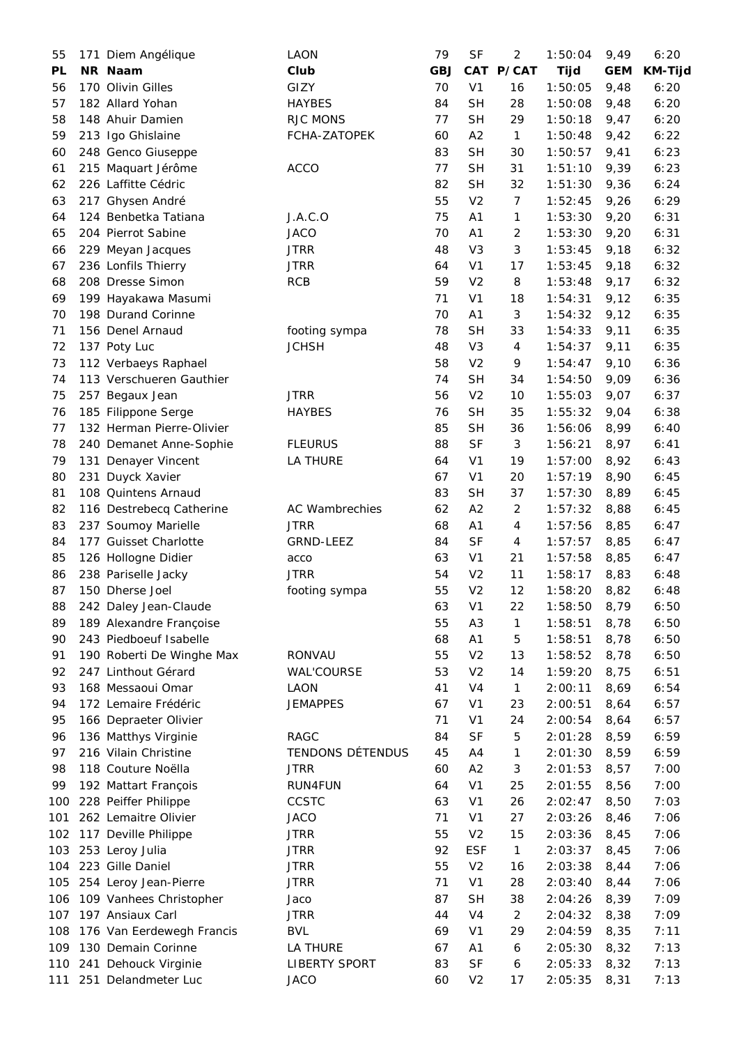| 55        | 171 Diem Angélique        | LAON                 | 79         | <b>SF</b>      | $\overline{2}$ | 1:50:04     | 9,49       | 6:20           |
|-----------|---------------------------|----------------------|------------|----------------|----------------|-------------|------------|----------------|
| <b>PL</b> | NR Naam                   | Club                 | <b>GBJ</b> | <b>CAT</b>     | P/CAT          | <b>Tijd</b> | <b>GEM</b> | <b>KM-Tijd</b> |
| 56        | 170 Olivin Gilles         | GIZY                 | 70         | V <sub>1</sub> | 16             | 1:50:05     | 9,48       | 6:20           |
| 57        | 182 Allard Yohan          | <b>HAYBES</b>        | 84         | <b>SH</b>      | 28             | 1:50:08     | 9,48       | 6:20           |
| 58        | 148 Ahuir Damien          | RJC MONS             | 77         | <b>SH</b>      | 29             | 1:50:18     | 9,47       | 6:20           |
| 59        | 213 Igo Ghislaine         | FCHA-ZATOPEK         | 60         | A2             | $\mathbf{1}$   | 1:50:48     | 9,42       | 6:22           |
| 60        | 248 Genco Giuseppe        |                      | 83         | <b>SH</b>      | 30             | 1:50:57     | 9,41       | 6:23           |
| 61        | 215 Maquart Jérôme        | <b>ACCO</b>          | 77         | <b>SH</b>      | 31             | 1:51:10     | 9,39       | 6:23           |
| 62        | 226 Laffitte Cédric       |                      | 82         | <b>SH</b>      | 32             | 1:51:30     | 9,36       | 6:24           |
| 63        | 217 Ghysen André          |                      | 55         | V <sub>2</sub> | $\overline{7}$ | 1:52:45     | 9,26       | 6:29           |
| 64        | 124 Benbetka Tatiana      | J.A.C.O              | 75         | A1             | 1              | 1:53:30     | 9,20       | 6:31           |
| 65        | 204 Pierrot Sabine        | <b>JACO</b>          | 70         | A <sub>1</sub> | $\overline{c}$ | 1:53:30     | 9,20       | 6:31           |
| 66        | 229 Meyan Jacques         | <b>JTRR</b>          | 48         | V <sub>3</sub> | 3              | 1:53:45     | 9,18       | 6:32           |
| 67        | 236 Lonfils Thierry       | <b>JTRR</b>          | 64         | V <sub>1</sub> | 17             | 1:53:45     | 9,18       | 6:32           |
| 68        | 208 Dresse Simon          | <b>RCB</b>           | 59         | V <sub>2</sub> | 8              | 1:53:48     | 9,17       | 6:32           |
| 69        | 199 Hayakawa Masumi       |                      | 71         | V <sub>1</sub> | 18             | 1:54:31     | 9,12       | 6:35           |
| 70        | 198 Durand Corinne        |                      | 70         |                | 3              | 1:54:32     |            | 6:35           |
|           |                           |                      |            | A1             |                |             | 9,12       |                |
| 71        | 156 Denel Arnaud          | footing sympa        | 78         | <b>SH</b>      | 33             | 1:54:33     | 9,11       | 6:35           |
| 72        | 137 Poty Luc              | <b>JCHSH</b>         | 48         | V <sub>3</sub> | 4              | 1:54:37     | 9,11       | 6:35           |
| 73        | 112 Verbaeys Raphael      |                      | 58         | V <sub>2</sub> | 9              | 1:54:47     | 9,10       | 6:36           |
| 74        | 113 Verschueren Gauthier  |                      | 74         | <b>SH</b>      | 34             | 1:54:50     | 9,09       | 6:36           |
| 75        | 257 Begaux Jean           | <b>JTRR</b>          | 56         | V <sub>2</sub> | 10             | 1:55:03     | 9,07       | 6:37           |
| 76        | 185 Filippone Serge       | <b>HAYBES</b>        | 76         | <b>SH</b>      | 35             | 1:55:32     | 9,04       | 6:38           |
| 77        | 132 Herman Pierre-Olivier |                      | 85         | <b>SH</b>      | 36             | 1:56:06     | 8,99       | 6:40           |
| 78        | 240 Demanet Anne-Sophie   | <b>FLEURUS</b>       | 88         | <b>SF</b>      | 3              | 1:56:21     | 8,97       | 6:41           |
| 79        | 131 Denayer Vincent       | LA THURE             | 64         | V <sub>1</sub> | 19             | 1:57:00     | 8,92       | 6:43           |
| 80        | 231 Duyck Xavier          |                      | 67         | V <sub>1</sub> | 20             | 1:57:19     | 8,90       | 6:45           |
| 81        | 108 Quintens Arnaud       |                      | 83         | <b>SH</b>      | 37             | 1:57:30     | 8,89       | 6:45           |
| 82        | 116 Destrebecq Catherine  | AC Wambrechies       | 62         | A2             | $\overline{c}$ | 1:57:32     | 8,88       | 6:45           |
| 83        | 237 Soumoy Marielle       | <b>JTRR</b>          | 68         | A <sub>1</sub> | $\overline{4}$ | 1:57:56     | 8,85       | 6:47           |
| 84        | 177 Guisset Charlotte     | GRND-LEEZ            | 84         | <b>SF</b>      | 4              | 1:57:57     | 8,85       | 6:47           |
| 85        | 126 Hollogne Didier       | acco                 | 63         | V <sub>1</sub> | 21             | 1:57:58     | 8,85       | 6:47           |
| 86        | 238 Pariselle Jacky       | <b>JTRR</b>          | 54         | V <sub>2</sub> | 11             | 1:58:17     | 8,83       | 6:48           |
| 87        | 150 Dherse Joel           | footing sympa        | 55         | V <sub>2</sub> | 12             | 1:58:20     | 8,82       | 6:48           |
| 88        | 242 Daley Jean-Claude     |                      | 63         | V <sub>1</sub> | 22             | 1:58:50     | 8,79       | 6:50           |
| 89        | 189 Alexandre Françoise   |                      | 55         | A <sub>3</sub> | 1              | 1:58:51     | 8,78       | 6:50           |
| 90        | 243 Piedboeuf Isabelle    |                      | 68         | A1             | 5              | 1:58:51     | 8,78       | 6:50           |
| 91        | 190 Roberti De Winghe Max | <b>RONVAU</b>        | 55         | V <sub>2</sub> | 13             | 1:58:52     | 8,78       | 6:50           |
| 92        | 247 Linthout Gérard       | <b>WAL'COURSE</b>    | 53         | V <sub>2</sub> | 14             | 1:59:20     | 8,75       | 6:51           |
| 93        | 168 Messaoui Omar         | LAON                 | 41         | V <sub>4</sub> | $\mathbf{1}$   | 2:00:11     | 8,69       | 6:54           |
| 94        | 172 Lemaire Frédéric      | <b>JEMAPPES</b>      | 67         | V <sub>1</sub> | 23             | 2:00:51     | 8,64       | 6:57           |
| 95        | 166 Depraeter Olivier     |                      | 71         | V <sub>1</sub> | 24             | 2:00:54     | 8,64       | 6:57           |
| 96        | 136 Matthys Virginie      | RAGC                 | 84         | <b>SF</b>      | 5              | 2:01:28     | 8,59       | 6:59           |
| 97        | 216 Vilain Christine      | TENDONS DÉTENDUS     | 45         | A4             | 1              | 2:01:30     | 8,59       | 6:59           |
| 98        | 118 Couture Noëlla        | <b>JTRR</b>          | 60         | A2             | 3              | 2:01:53     | 8,57       | 7:00           |
| 99        | 192 Mattart François      | RUN4FUN              | 64         | V <sub>1</sub> | 25             | 2:01:55     | 8,56       | 7:00           |
| 100       | 228 Peiffer Philippe      | CCSTC                | 63         | V <sub>1</sub> | 26             | 2:02:47     | 8,50       | 7:03           |
| 101       | 262 Lemaitre Olivier      | <b>JACO</b>          | 71         | V <sub>1</sub> | 27             | 2:03:26     | 8,46       | 7:06           |
| 102       | 117 Deville Philippe      | <b>JTRR</b>          | 55         | V <sub>2</sub> | 15             | 2:03:36     | 8,45       | 7:06           |
| 103       | 253 Leroy Julia           | <b>JTRR</b>          | 92         | <b>ESF</b>     | $\mathbf{1}$   | 2:03:37     | 8,45       | 7:06           |
| 104       | 223 Gille Daniel          | <b>JTRR</b>          | 55         | V <sub>2</sub> | 16             | 2:03:38     | 8,44       | 7:06           |
| 105       | 254 Leroy Jean-Pierre     | <b>JTRR</b>          | 71         | V <sub>1</sub> | 28             | 2:03:40     | 8,44       | 7:06           |
| 106       | 109 Vanhees Christopher   | Jaco                 | 87         | <b>SH</b>      | 38             | 2:04:26     | 8,39       | 7:09           |
| 107       | 197 Ansiaux Carl          | <b>JTRR</b>          | 44         | V <sub>4</sub> | $\overline{2}$ | 2:04:32     | 8,38       | 7:09           |
| 108       | 176 Van Eerdewegh Francis | <b>BVL</b>           | 69         | V <sub>1</sub> | 29             | 2:04:59     | 8,35       | 7:11           |
| 109       | 130 Demain Corinne        | LA THURE             | 67         | A1             | 6              | 2:05:30     | 8,32       | 7:13           |
| 110       | 241 Dehouck Virginie      | <b>LIBERTY SPORT</b> | 83         | <b>SF</b>      | 6              | 2:05:33     | 8,32       | 7:13           |
| 111       | 251 Delandmeter Luc       | <b>JACO</b>          | 60         | V <sub>2</sub> | 17             | 2:05:35     | 8,31       | 7:13           |
|           |                           |                      |            |                |                |             |            |                |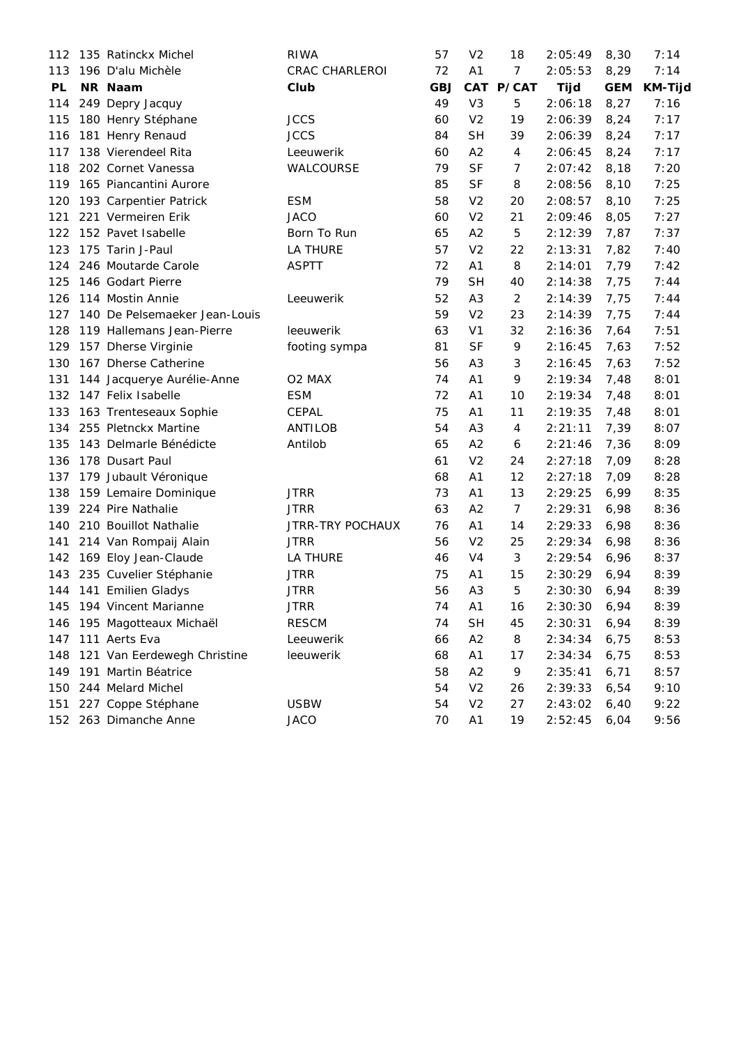| 112 | 135 Ratinckx Michel           | <b>RIWA</b>        | 57         | V <sub>2</sub> | 18             | 2:05:49     | 8,30       | 7:14           |
|-----|-------------------------------|--------------------|------------|----------------|----------------|-------------|------------|----------------|
| 113 | 196 D'alu Michèle             | CRAC CHARLEROI     | 72         | A1             | $\overline{7}$ | 2:05:53     | 8,29       | 7:14           |
| PL  | NR Naam                       | Club               | <b>GBJ</b> |                | CAT P/CAT      | <b>Tijd</b> | <b>GEM</b> | <b>KM-Tijd</b> |
| 114 | 249 Depry Jacquy              |                    | 49         | V <sub>3</sub> | 5              | 2:06:18     | 8,27       | 7:16           |
| 115 | 180 Henry Stéphane            | <b>JCCS</b>        | 60         | V <sub>2</sub> | 19             | 2:06:39     | 8,24       | 7:17           |
| 116 | 181 Henry Renaud              | <b>JCCS</b>        | 84         | <b>SH</b>      | 39             | 2:06:39     | 8,24       | 7:17           |
| 117 | 138 Vierendeel Rita           | Leeuwerik          | 60         | A2             | 4              | 2:06:45     | 8,24       | 7:17           |
| 118 | 202 Cornet Vanessa            | WALCOURSE          | 79         | <b>SF</b>      | 7              | 2:07:42     | 8,18       | 7:20           |
| 119 | 165 Piancantini Aurore        |                    | 85         | <b>SF</b>      | 8              | 2:08:56     | 8,10       | 7:25           |
| 120 | 193 Carpentier Patrick        | <b>ESM</b>         | 58         | V <sub>2</sub> | 20             | 2:08:57     | 8,10       | 7:25           |
| 121 | 221 Vermeiren Erik            | <b>JACO</b>        | 60         | V <sub>2</sub> | 21             | 2:09:46     | 8,05       | 7:27           |
| 122 | 152 Pavet Isabelle            | Born To Run        | 65         | A2             | 5              | 2:12:39     | 7,87       | 7:37           |
| 123 | 175 Tarin J-Paul              | LA THURE           | 57         | V <sub>2</sub> | 22             | 2:13:31     | 7,82       | 7:40           |
| 124 | 246 Moutarde Carole           | <b>ASPTT</b>       | 72         | A1             | 8              | 2:14:01     | 7,79       | 7:42           |
| 125 | 146 Godart Pierre             |                    | 79         | <b>SH</b>      | 40             | 2:14:38     | 7,75       | 7:44           |
| 126 | 114 Mostin Annie              | Leeuwerik          | 52         | A <sub>3</sub> | 2              | 2:14:39     | 7,75       | 7:44           |
| 127 | 140 De Pelsemaeker Jean-Louis |                    | 59         | V <sub>2</sub> | 23             | 2:14:39     | 7,75       | 7:44           |
| 128 | 119 Hallemans Jean-Pierre     | leeuwerik          | 63         | V <sub>1</sub> | 32             | 2:16:36     | 7,64       | 7:51           |
| 129 | 157 Dherse Virginie           | footing sympa      | 81         | <b>SF</b>      | 9              | 2:16:45     | 7,63       | 7:52           |
| 130 | 167 Dherse Catherine          |                    | 56         | A <sub>3</sub> | 3              | 2:16:45     | 7,63       | 7:52           |
| 131 | 144 Jacquerye Aurélie-Anne    | O <sub>2</sub> MAX | 74         | A <sub>1</sub> | 9              | 2:19:34     | 7,48       | 8:01           |
| 132 | 147 Felix Isabelle            | <b>ESM</b>         | 72         | A <sub>1</sub> | 10             | 2:19:34     | 7,48       | 8:01           |
| 133 | 163 Trenteseaux Sophie        | CEPAL              | 75         | A1             | 11             | 2:19:35     | 7,48       | 8:01           |
| 134 | 255 Pletnckx Martine          | <b>ANTILOB</b>     | 54         | A <sub>3</sub> | 4              | 2:21:11     | 7,39       | 8:07           |
| 135 | 143 Delmarle Bénédicte        | Antilob            | 65         | A2             | 6              | 2:21:46     | 7,36       | 8:09           |
| 136 | 178 Dusart Paul               |                    | 61         | V <sub>2</sub> | 24             | 2:27:18     | 7,09       | 8:28           |
| 137 | 179 Jubault Véronique         |                    | 68         | A1             | 12             | 2:27:18     | 7,09       | 8:28           |
| 138 | 159 Lemaire Dominique         | <b>JTRR</b>        | 73         | A <sub>1</sub> | 13             | 2:29:25     | 6,99       | 8:35           |
| 139 | 224 Pire Nathalie             | <b>JTRR</b>        | 63         | A2             | $\overline{7}$ | 2:29:31     | 6,98       | 8:36           |
| 140 | 210 Bouillot Nathalie         | JTRR-TRY POCHAUX   | 76         | A <sub>1</sub> | 14             | 2:29:33     | 6,98       | 8:36           |
| 141 | 214 Van Rompaij Alain         | <b>JTRR</b>        | 56         | V <sub>2</sub> | 25             | 2:29:34     | 6,98       | 8:36           |
| 142 | 169 Eloy Jean-Claude          | LA THURE           | 46         | V <sub>4</sub> | 3              | 2:29:54     | 6,96       | 8:37           |
| 143 | 235 Cuvelier Stéphanie        | <b>JTRR</b>        | 75         | A1             | 15             | 2:30:29     | 6,94       | 8:39           |
|     | 144 141 Emilien Gladys        | <b>JTRR</b>        | 56         | A <sub>3</sub> | 5              | 2:30:30     | 6,94       | 8:39           |
| 145 | 194 Vincent Marianne          | <b>JTRR</b>        | 74         | A1             | 16             | 2:30:30     | 6,94       | 8:39           |
| 146 | 195 Magotteaux Michaël        | RESCM              | 74         | <b>SH</b>      | 45             | 2:30:31     | 6,94       | 8:39           |
| 147 | 111 Aerts Eva                 | Leeuwerik          | 66         | A2             | 8              | 2:34:34     | 6,75       | 8:53           |
| 148 | 121 Van Eerdewegh Christine   | leeuwerik          | 68         | A1             | 17             | 2:34:34     | 6,75       | 8:53           |
| 149 | 191 Martin Béatrice           |                    | 58         | A2             | 9              | 2:35:41     | 6,71       | 8:57           |
| 150 | 244 Melard Michel             |                    | 54         | V <sub>2</sub> | 26             | 2:39:33     | 6,54       | 9:10           |
| 151 | 227 Coppe Stéphane            | <b>USBW</b>        | 54         | V <sub>2</sub> | 27             | 2:43:02     | 6,40       | 9:22           |
|     | 152 263 Dimanche Anne         | <b>JACO</b>        | 70         | A <sub>1</sub> | 19             | 2:52:45     | 6,04       | 9:56           |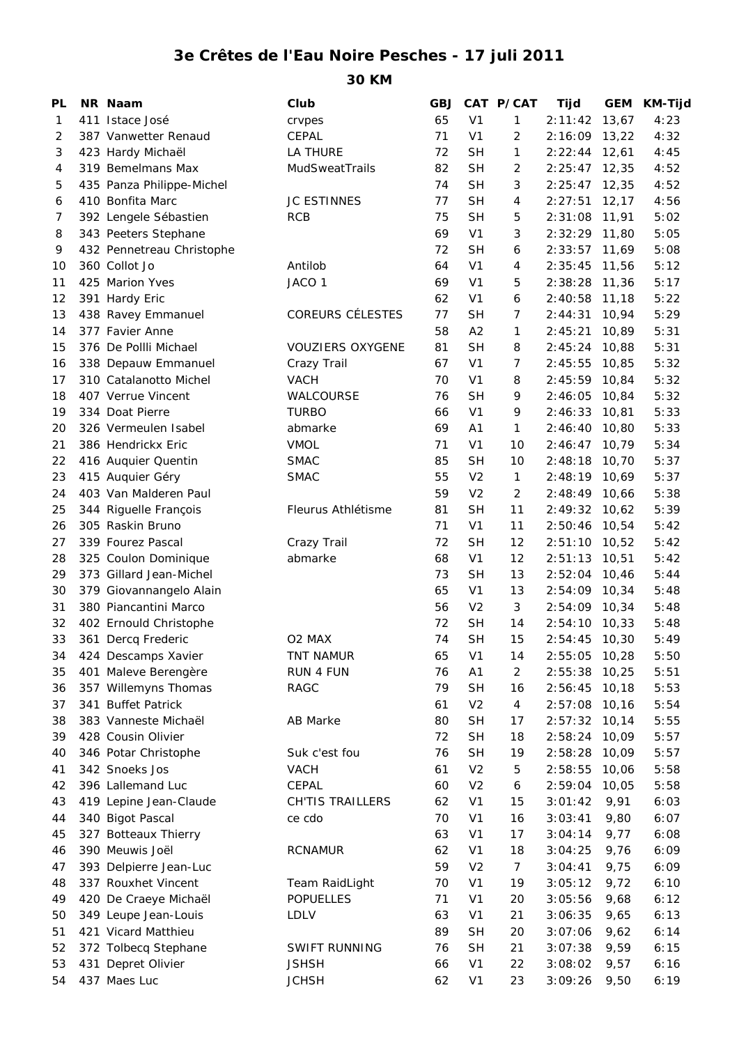## **3e Crêtes de l'Eau Noire Pesches - 17 juli 2011**

**30 KM**

| PL | NR Naam                   | Club                    | GBJ      |                        | CAT P/CAT      | Tijd          | GEM    | <b>KM-Tijd</b> |
|----|---------------------------|-------------------------|----------|------------------------|----------------|---------------|--------|----------------|
| 1  | 411 Istace José           | crvpes                  | 65       | V <sub>1</sub>         | 1              | 2:11:42       | 13,67  | 4:23           |
| 2  | 387 Vanwetter Renaud      | <b>CEPAL</b>            | 71       | V <sub>1</sub>         | 2              | 2:16:09       | 13,22  | 4:32           |
| 3  | 423 Hardy Michaël         | LA THURE                | 72       | <b>SH</b>              | 1              | 2:22:44       | 12,61  | 4:45           |
| 4  | 319 Bemelmans Max         | MudSweatTrails          | 82       | <b>SH</b>              | 2              | 2:25:47       | 12,35  | 4:52           |
| 5  | 435 Panza Philippe-Michel |                         | 74       | <b>SH</b>              | 3              | 2:25:47       | 12,35  | 4:52           |
| 6  | 410 Bonfita Marc          | <b>JC ESTINNES</b>      | 77       | <b>SH</b>              | $\overline{4}$ | 2:27:51       | 12, 17 | 4:56           |
| 7  | 392 Lengele Sébastien     | <b>RCB</b>              | 75       | <b>SH</b>              | 5              | 2:31:08       | 11,91  | 5:02           |
| 8  | 343 Peeters Stephane      |                         | 69       | V <sub>1</sub>         | 3              | 2:32:29       | 11,80  | 5:05           |
| 9  | 432 Pennetreau Christophe |                         | 72       | <b>SH</b>              | 6              | 2:33:57       | 11,69  | 5:08           |
| 10 | 360 Collot Jo             | Antilob                 | 64       | V <sub>1</sub>         | 4              | 2:35:45       | 11,56  | 5:12           |
| 11 | 425 Marion Yves           | JACO <sub>1</sub>       | 69       | V <sub>1</sub>         | 5              | 2:38:28       | 11,36  | 5:17           |
| 12 | 391 Hardy Eric            |                         | 62       | V <sub>1</sub>         | 6              | 2:40:58       | 11,18  | 5:22           |
| 13 | 438 Ravey Emmanuel        | <b>COREURS CÉLESTES</b> | 77       | <b>SH</b>              | 7              | 2:44:31       | 10,94  | 5:29           |
| 14 | 377 Favier Anne           |                         | 58       | A2                     | 1              | 2:45:21       | 10,89  | 5:31           |
| 15 | 376 De Pollli Michael     | <b>VOUZIERS OXYGENE</b> | 81       | <b>SH</b>              | 8              | 2:45:24       | 10,88  | 5:31           |
| 16 | 338 Depauw Emmanuel       | Crazy Trail             | 67       | V <sub>1</sub>         | $\overline{7}$ | 2:45:55       | 10,85  | 5:32           |
| 17 | 310 Catalanotto Michel    | <b>VACH</b>             | 70       | V <sub>1</sub>         | 8              | 2:45:59       | 10,84  | 5:32           |
| 18 | 407 Verrue Vincent        | WALCOURSE               | 76       | <b>SH</b>              | 9              | 2:46:05       | 10,84  | 5:32           |
| 19 | 334 Doat Pierre           | <b>TURBO</b>            | 66       | V <sub>1</sub>         | 9              | 2:46:33       | 10,81  | 5:33           |
| 20 | 326 Vermeulen Isabel      | abmarke                 | 69       | A <sub>1</sub>         | 1              | 2:46:40       | 10,80  | 5:33           |
| 21 | 386 Hendrickx Eric        | <b>VMOL</b>             | 71       | V <sub>1</sub>         | 10             | 2:46:47       | 10,79  | 5:34           |
| 22 | 416 Auquier Quentin       | <b>SMAC</b>             | 85       | <b>SH</b>              | 10             | 2:48:18       | 10,70  | 5:37           |
| 23 | 415 Auquier Géry          | <b>SMAC</b>             | 55       | V <sub>2</sub>         | $\mathbf{1}$   | 2:48:19       | 10,69  | 5:37           |
| 24 | 403 Van Malderen Paul     |                         | 59       | V <sub>2</sub>         | 2              | 2:48:49       | 10,66  | 5:38           |
| 25 | 344 Riguelle François     | Fleurus Athlétisme      | 81       | <b>SH</b>              | 11             | 2:49:32       | 10,62  | 5:39           |
| 26 | 305 Raskin Bruno          |                         | 71       | V <sub>1</sub>         | 11             | 2:50:46       | 10,54  | 5:42           |
| 27 | 339 Fourez Pascal         | Crazy Trail             | 72       | <b>SH</b>              | 12             | 2:51:10       | 10,52  | 5:42           |
| 28 | 325 Coulon Dominique      | abmarke                 | 68       | V <sub>1</sub>         | 12             | 2:51:13       | 10,51  | 5:42           |
| 29 | 373 Gillard Jean-Michel   |                         | 73       | <b>SH</b>              | 13             | 2:52:04       |        | 5:44           |
|    |                           |                         |          |                        |                |               | 10,46  |                |
| 30 | 379 Giovannangelo Alain   |                         | 65       | V <sub>1</sub>         | 13             | 2:54:09       | 10,34  | 5:48           |
| 31 | 380 Piancantini Marco     |                         | 56<br>72 | V <sub>2</sub>         | 3              | 2:54:09       | 10,34  | 5:48           |
| 32 | 402 Ernould Christophe    |                         | 74       | <b>SH</b><br><b>SH</b> | 14             | 2:54:10       | 10,33  | 5:48           |
| 33 | 361 Dercq Frederic        | O <sub>2</sub> MAX      |          |                        | 15             | 2:54:45 10,30 |        | 5:49           |
| 34 | 424 Descamps Xavier       | TNT NAMUR               | 65       | V <sub>1</sub>         | 14             | 2:55:05 10,28 |        | 5:50           |
| 35 | 401 Maleve Berengère      | <b>RUN 4 FUN</b>        | 76       | A1                     | $\overline{2}$ | 2:55:38       | 10,25  | 5:51           |
| 36 | 357 Willemyns Thomas      | RAGC                    | 79       | <b>SH</b>              | 16             | 2:56:45       | 10, 18 | 5:53           |
| 37 | 341 Buffet Patrick        |                         | 61       | V <sub>2</sub>         | $\overline{4}$ | 2:57:08       | 10, 16 | 5:54           |
| 38 | 383 Vanneste Michaël      | <b>AB Marke</b>         | 80       | <b>SH</b>              | 17             | 2:57:32       | 10, 14 | 5:55           |
| 39 | 428 Cousin Olivier        |                         | 72       | <b>SH</b>              | 18             | 2:58:24       | 10,09  | 5:57           |
| 40 | 346 Potar Christophe      | Suk c'est fou           | 76       | <b>SH</b>              | 19             | 2:58:28       | 10,09  | 5:57           |
| 41 | 342 Snoeks Jos            | <b>VACH</b>             | 61       | V <sub>2</sub>         | 5              | 2:58:55       | 10,06  | 5:58           |
| 42 | 396 Lallemand Luc         | CEPAL                   | 60       | V <sub>2</sub>         | 6              | 2:59:04       | 10,05  | 5:58           |
| 43 | 419 Lepine Jean-Claude    | <b>CH'TIS TRAILLERS</b> | 62       | V <sub>1</sub>         | 15             | 3:01:42       | 9,91   | 6:03           |
| 44 | 340 Bigot Pascal          | ce cdo                  | 70       | V <sub>1</sub>         | 16             | 3:03:41       | 9,80   | 6:07           |
| 45 | 327 Botteaux Thierry      |                         | 63       | V <sub>1</sub>         | 17             | 3:04:14       | 9,77   | 6:08           |
| 46 | 390 Meuwis Joël           | <b>RCNAMUR</b>          | 62       | V <sub>1</sub>         | 18             | 3:04:25       | 9,76   | 6:09           |
| 47 | 393 Delpierre Jean-Luc    |                         | 59       | V <sub>2</sub>         | $\overline{7}$ | 3:04:41       | 9,75   | 6:09           |
| 48 | 337 Rouxhet Vincent       | Team RaidLight          | 70       | V <sub>1</sub>         | 19             | 3:05:12       | 9,72   | 6:10           |
| 49 | 420 De Craeye Michaël     | <b>POPUELLES</b>        | 71       | V <sub>1</sub>         | 20             | 3:05:56       | 9,68   | 6:12           |
| 50 | 349 Leupe Jean-Louis      | <b>LDLV</b>             | 63       | V <sub>1</sub>         | 21             | 3:06:35       | 9,65   | 6:13           |
| 51 | 421 Vicard Matthieu       |                         | 89       | <b>SH</b>              | 20             | 3:07:06       | 9,62   | 6:14           |
| 52 | 372 Tolbecq Stephane      | <b>SWIFT RUNNING</b>    | 76       | <b>SH</b>              | 21             | 3:07:38       | 9,59   | 6:15           |
| 53 | 431 Depret Olivier        | <b>JSHSH</b>            | 66       | V <sub>1</sub>         | 22             | 3:08:02       | 9,57   | 6:16           |
| 54 | 437 Maes Luc              | <b>JCHSH</b>            | 62       | V <sub>1</sub>         | 23             | 3:09:26       | 9,50   | 6:19           |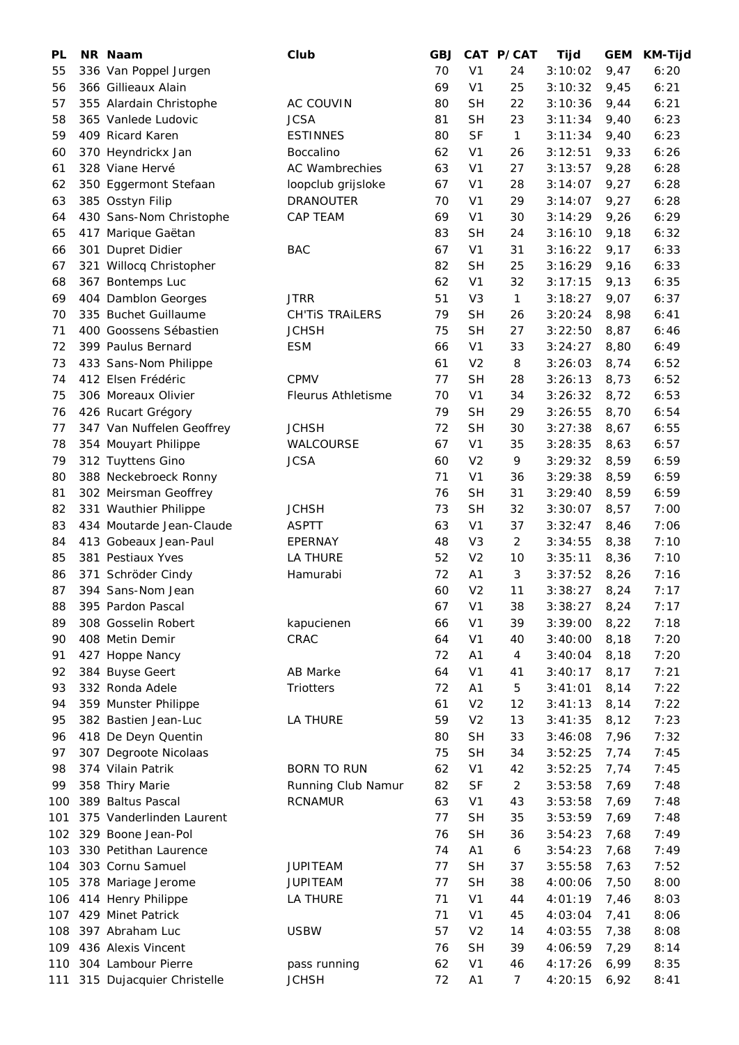| PL  | NR Naam                   | Club                   | <b>GBJ</b> |                | CAT P/CAT      | Tijd    | <b>GEM</b> | <b>KM-Tijd</b> |
|-----|---------------------------|------------------------|------------|----------------|----------------|---------|------------|----------------|
| 55  | 336 Van Poppel Jurgen     |                        | 70         | V <sub>1</sub> | 24             | 3:10:02 | 9,47       | 6:20           |
| 56  | 366 Gillieaux Alain       |                        | 69         | V <sub>1</sub> | 25             | 3:10:32 | 9,45       | 6:21           |
| 57  | 355 Alardain Christophe   | AC COUVIN              | 80         | <b>SH</b>      | 22             | 3:10:36 | 9,44       | 6:21           |
| 58  | 365 Vanlede Ludovic       | <b>JCSA</b>            | 81         | <b>SH</b>      | 23             | 3:11:34 | 9,40       | 6:23           |
| 59  | 409 Ricard Karen          | <b>ESTINNES</b>        | 80         | <b>SF</b>      | $\mathbf{1}$   | 3:11:34 | 9,40       | 6:23           |
| 60  | 370 Heyndrickx Jan        | <b>Boccalino</b>       | 62         | V <sub>1</sub> | 26             | 3:12:51 | 9,33       | 6:26           |
| 61  | 328 Viane Hervé           | <b>AC Wambrechies</b>  | 63         | V <sub>1</sub> | 27             | 3:13:57 | 9,28       | 6:28           |
| 62  | 350 Eggermont Stefaan     | loopclub grijsloke     | 67         | V <sub>1</sub> | 28             | 3:14:07 | 9,27       | 6:28           |
| 63  | 385 Osstyn Filip          | <b>DRANOUTER</b>       | 70         | V <sub>1</sub> | 29             | 3:14:07 | 9,27       | 6:28           |
| 64  | 430 Sans-Nom Christophe   | CAP TEAM               | 69         | V <sub>1</sub> | 30             | 3:14:29 | 9,26       | 6:29           |
| 65  | 417 Marique Gaëtan        |                        | 83         | <b>SH</b>      | 24             | 3:16:10 | 9,18       | 6:32           |
| 66  | 301 Dupret Didier         | <b>BAC</b>             | 67         | V <sub>1</sub> | 31             | 3:16:22 | 9,17       | 6:33           |
| 67  | 321 Willocq Christopher   |                        | 82         | <b>SH</b>      | 25             | 3:16:29 | 9,16       | 6:33           |
| 68  | 367 Bontemps Luc          |                        | 62         | V <sub>1</sub> | 32             | 3:17:15 | 9,13       | 6:35           |
| 69  | 404 Damblon Georges       | <b>JTRR</b>            | 51         | V <sub>3</sub> | $\mathbf{1}$   | 3:18:27 | 9,07       | 6:37           |
| 70  | 335 Buchet Guillaume      | <b>CH'TIS TRAILERS</b> | 79         | <b>SH</b>      | 26             | 3:20:24 | 8,98       | 6:41           |
| 71  | 400 Goossens Sébastien    | <b>JCHSH</b>           | 75         | <b>SH</b>      | 27             | 3:22:50 | 8,87       | 6:46           |
| 72  | 399 Paulus Bernard        | <b>ESM</b>             | 66         | V <sub>1</sub> | 33             | 3:24:27 | 8,80       | 6:49           |
| 73  | 433 Sans-Nom Philippe     |                        | 61         | V <sub>2</sub> | 8              | 3:26:03 | 8,74       | 6:52           |
| 74  | 412 Elsen Frédéric        | <b>CPMV</b>            | 77         | <b>SH</b>      | 28             | 3:26:13 | 8,73       | 6:52           |
| 75  | 306 Moreaux Olivier       | Fleurus Athletisme     | 70         | V <sub>1</sub> | 34             | 3:26:32 | 8,72       | 6:53           |
| 76  | 426 Rucart Grégory        |                        | 79         | <b>SH</b>      | 29             | 3:26:55 | 8,70       | 6:54           |
| 77  | 347 Van Nuffelen Geoffrey | <b>JCHSH</b>           | 72         | <b>SH</b>      | 30             | 3:27:38 | 8,67       | 6:55           |
| 78  | 354 Mouyart Philippe      | WALCOURSE              | 67         | V <sub>1</sub> | 35             | 3:28:35 | 8,63       | 6:57           |
| 79  |                           | <b>JCSA</b>            | 60         | V <sub>2</sub> | 9              | 3:29:32 |            | 6:59           |
|     | 312 Tuyttens Gino         |                        |            |                |                |         | 8,59       |                |
| 80  | 388 Neckebroeck Ronny     |                        | 71         | V <sub>1</sub> | 36             | 3:29:38 | 8,59       | 6:59           |
| 81  | 302 Meirsman Geoffrey     |                        | 76         | <b>SH</b>      | 31             | 3:29:40 | 8,59       | 6:59           |
| 82  | 331 Wauthier Philippe     | <b>JCHSH</b>           | 73         | <b>SH</b>      | 32             | 3:30:07 | 8,57       | 7:00           |
| 83  | 434 Moutarde Jean-Claude  | <b>ASPTT</b>           | 63         | V <sub>1</sub> | 37             | 3:32:47 | 8,46       | 7:06           |
| 84  | 413 Gobeaux Jean-Paul     | EPERNAY                | 48         | V <sub>3</sub> | $\overline{c}$ | 3:34:55 | 8,38       | 7:10           |
| 85  | 381 Pestiaux Yves         | <b>LA THURE</b>        | 52         | V <sub>2</sub> | 10             | 3:35:11 | 8,36       | 7:10           |
| 86  | 371 Schröder Cindy        | Hamurabi               | 72         | A1             | 3              | 3:37:52 | 8,26       | 7:16           |
| 87  | 394 Sans-Nom Jean         |                        | 60         | V <sub>2</sub> | 11             | 3:38:27 | 8,24       | 7:17           |
| 88  | 395 Pardon Pascal         |                        | 67         | V <sub>1</sub> | 38             | 3:38:27 | 8,24       | 7:17           |
| 89  | 308 Gosselin Robert       | kapucienen             | 66         | V <sub>1</sub> | 39             | 3:39:00 | 8,22       | 7:18           |
| 90  | 408 Metin Demir           | CRAC                   | 64         | V <sub>1</sub> | 40             | 3:40:00 | 8,18       | 7:20           |
| 91  | 427 Hoppe Nancy           |                        | 72         | A1             | 4              | 3:40:04 | 8,18       | 7:20           |
| 92  | 384 Buyse Geert           | AB Marke               | 64         | V <sub>1</sub> | 41             | 3:40:17 | 8,17       | 7:21           |
| 93  | 332 Ronda Adele           | Triotters              | 72         | Α1             | 5              | 3:41:01 | 8,14       | 7:22           |
| 94  | 359 Munster Philippe      |                        | 61         | V <sub>2</sub> | 12             | 3:41:13 | 8,14       | 7:22           |
| 95  | 382 Bastien Jean-Luc      | LA THURE               | 59         | V <sub>2</sub> | 13             | 3:41:35 | 8,12       | 7:23           |
| 96  | 418 De Deyn Quentin       |                        | 80         | <b>SH</b>      | 33             | 3:46:08 | 7,96       | 7:32           |
| 97  | 307 Degroote Nicolaas     |                        | 75         | <b>SH</b>      | 34             | 3:52:25 | 7,74       | 7:45           |
| 98  | 374 Vilain Patrik         | <b>BORN TO RUN</b>     | 62         | V <sub>1</sub> | 42             | 3:52:25 | 7,74       | 7:45           |
| 99  | 358 Thiry Marie           | Running Club Namur     | 82         | <b>SF</b>      | $\overline{a}$ | 3:53:58 | 7,69       | 7:48           |
| 100 | 389 Baltus Pascal         | <b>RCNAMUR</b>         | 63         | V <sub>1</sub> | 43             | 3:53:58 | 7,69       | 7:48           |
| 101 | 375 Vanderlinden Laurent  |                        | 77         | <b>SH</b>      | 35             | 3:53:59 | 7,69       | 7:48           |
| 102 | 329 Boone Jean-Pol        |                        | 76         | <b>SH</b>      | 36             | 3:54:23 | 7,68       | 7:49           |
| 103 | 330 Petithan Laurence     |                        | 74         | A1             | 6              | 3:54:23 | 7,68       | 7:49           |
| 104 | 303 Cornu Samuel          | <b>JUPITEAM</b>        | 77         | <b>SH</b>      | 37             | 3:55:58 | 7,63       | 7:52           |
| 105 | 378 Mariage Jerome        | <b>JUPITEAM</b>        | 77         | <b>SH</b>      | 38             | 4:00:06 | 7,50       | 8:00           |
| 106 | 414 Henry Philippe        | LA THURE               | 71         | V <sub>1</sub> | 44             | 4:01:19 | 7,46       | 8:03           |
| 107 | 429 Minet Patrick         |                        | 71         | V <sub>1</sub> | 45             | 4:03:04 | 7,41       | 8:06           |
| 108 | 397 Abraham Luc           | <b>USBW</b>            | 57         | V <sub>2</sub> | 14             | 4:03:55 | 7,38       | 8:08           |
| 109 | 436 Alexis Vincent        |                        | 76         | <b>SH</b>      | 39             | 4:06:59 | 7,29       | 8:14           |
| 110 | 304 Lambour Pierre        | pass running           | 62         | V <sub>1</sub> | 46             | 4:17:26 | 6,99       | 8:35           |
|     |                           | <b>JCHSH</b>           | 72         |                |                |         |            | 8:41           |
| 111 | 315 Dujacquier Christelle |                        |            | A1             | 7              | 4:20:15 | 6,92       |                |